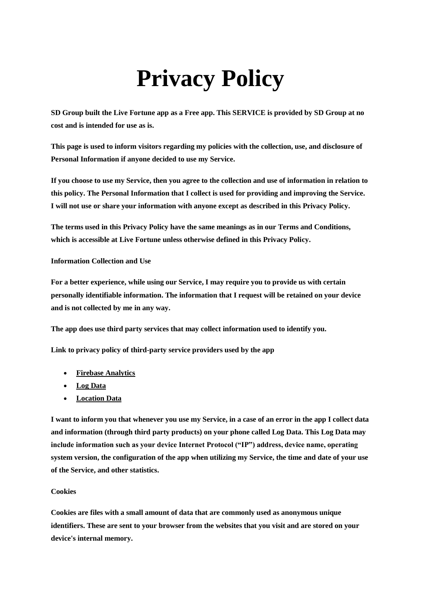# **Privacy Policy**

**SD Group built the Live Fortune app as a Free app. This SERVICE is provided by SD Group at no cost and is intended for use as is.**

**This page is used to inform visitors regarding my policies with the collection, use, and disclosure of Personal Information if anyone decided to use my Service.**

**If you choose to use my Service, then you agree to the collection and use of information in relation to this policy. The Personal Information that I collect is used for providing and improving the Service. I will not use or share your information with anyone except as described in this Privacy Policy.**

**The terms used in this Privacy Policy have the same meanings as in our Terms and Conditions, which is accessible at Live Fortune unless otherwise defined in this Privacy Policy.**

## **Information Collection and Use**

**For a better experience, while using our Service, I may require you to provide us with certain personally identifiable information. The information that I request will be retained on your device and is not collected by me in any way.**

**The app does use third party services that may collect information used to identify you.**

**Link to privacy policy of third-party service providers used by the app**

- **[Firebase Analytics](https://firebase.google.com/policies/analytics)**
- **Log Data**
- **Location Data**

**I want to inform you that whenever you use my Service, in a case of an error in the app I collect data and information (through third party products) on your phone called Log Data. This Log Data may include information such as your device Internet Protocol ("IP") address, device name, operating system version, the configuration of the app when utilizing my Service, the time and date of your use of the Service, and other statistics.**

## **Cookies**

**Cookies are files with a small amount of data that are commonly used as anonymous unique identifiers. These are sent to your browser from the websites that you visit and are stored on your device's internal memory.**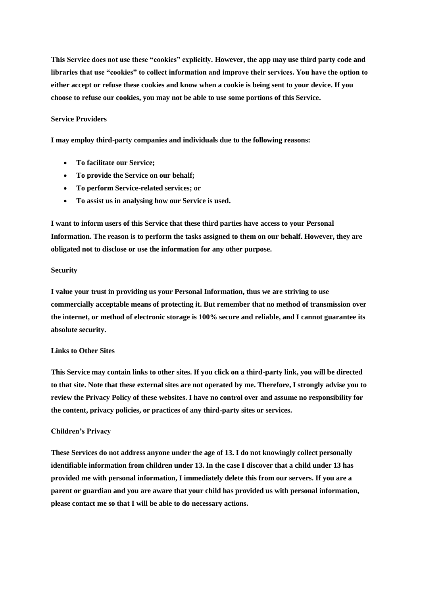**This Service does not use these "cookies" explicitly. However, the app may use third party code and libraries that use "cookies" to collect information and improve their services. You have the option to either accept or refuse these cookies and know when a cookie is being sent to your device. If you choose to refuse our cookies, you may not be able to use some portions of this Service.**

#### **Service Providers**

**I may employ third-party companies and individuals due to the following reasons:**

- **To facilitate our Service;**
- **To provide the Service on our behalf;**
- **To perform Service-related services; or**
- **To assist us in analysing how our Service is used.**

**I want to inform users of this Service that these third parties have access to your Personal Information. The reason is to perform the tasks assigned to them on our behalf. However, they are obligated not to disclose or use the information for any other purpose.**

#### **Security**

**I value your trust in providing us your Personal Information, thus we are striving to use commercially acceptable means of protecting it. But remember that no method of transmission over the internet, or method of electronic storage is 100% secure and reliable, and I cannot guarantee its absolute security.**

#### **Links to Other Sites**

**This Service may contain links to other sites. If you click on a third-party link, you will be directed to that site. Note that these external sites are not operated by me. Therefore, I strongly advise you to review the Privacy Policy of these websites. I have no control over and assume no responsibility for the content, privacy policies, or practices of any third-party sites or services.**

### **Children's Privacy**

**These Services do not address anyone under the age of 13. I do not knowingly collect personally identifiable information from children under 13. In the case I discover that a child under 13 has provided me with personal information, I immediately delete this from our servers. If you are a parent or guardian and you are aware that your child has provided us with personal information, please contact me so that I will be able to do necessary actions.**